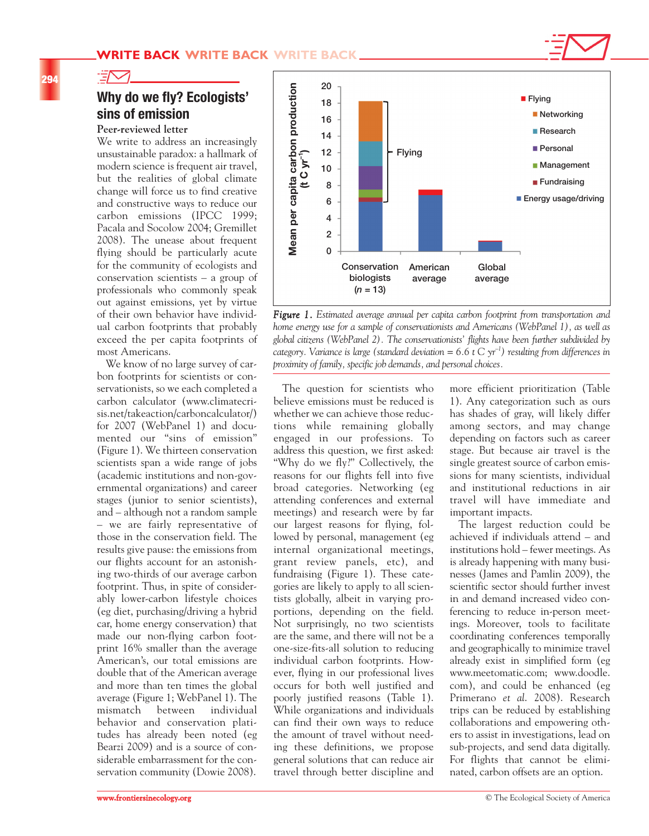

# **Why do we fly? Ecologists' sins of emission**

## **Peer-reviewed letter**

 $\exists\!\nabla\!$ 

We write to address an increasingly unsustainable paradox: a hallmark of modern science is frequent air travel, but the realities of global climate change will force us to find creative and constructive ways to reduce our carbon emissions (IPCC 1999; Pacala and Socolow 2004; Gremillet 2008). The unease about frequent flying should be particularly acute for the community of ecologists and conservation scientists – a group of professionals who commonly speak out against emissions, yet by virtue of their own behavior have individual carbon footprints that probably exceed the per capita footprints of most Americans.

We know of no large survey of carbon footprints for scientists or conservationists, so we each completed a carbon calculator (www.climatecrisis.net/takeaction/carboncalculator/) for 2007 (WebPanel 1) and documented our "sins of emission" (Figure 1). We thirteen conservation scientists span a wide range of jobs (academic institutions and non-governmental organizations) and career stages (junior to senior scientists), and – although not a random sample – we are fairly representative of those in the conservation field. The results give pause: the emissions from our flights account for an astonishing two-thirds of our average carbon footprint. Thus, in spite of considerably lower-carbon lifestyle choices (eg diet, purchasing/driving a hybrid car, home energy conservation) that made our non-flying carbon footprint 16% smaller than the average American's, our total emissions are double that of the American average and more than ten times the global average (Figure 1; WebPanel 1). The mismatch between individual behavior and conservation platitudes has already been noted (eg Bearzi 2009) and is a source of considerable embarrassment for the conservation community (Dowie 2008).



*Figure 1. Estimated average annual per capita carbon footprint from transportation and home energy use for a sample of conservationists and Americans (WebPanel 1), as well as global citizens (WebPanel 2). The conservationists' flights have been further subdivided by category. Variance is large (standard deviation = 6.6 t C yr<sup>-1</sup>) resulting from differences in proximity of family, specific job demands, and personal choices.*

The question for scientists who believe emissions must be reduced is whether we can achieve those reductions while remaining globally engaged in our professions. To address this question, we first asked: "Why do we fly?" Collectively, the reasons for our flights fell into five broad categories. Networking (eg attending conferences and external meetings) and research were by far our largest reasons for flying, followed by personal, management (eg internal organizational meetings, grant review panels, etc), and fundraising (Figure 1). These categories are likely to apply to all scientists globally, albeit in varying proportions, depending on the field. Not surprisingly, no two scientists are the same, and there will not be a one-size-fits-all solution to reducing individual carbon footprints. However, flying in our professional lives occurs for both well justified and poorly justified reasons (Table 1). While organizations and individuals can find their own ways to reduce the amount of travel without needing these definitions, we propose general solutions that can reduce air travel through better discipline and

more efficient prioritization (Table 1). Any categorization such as ours has shades of gray, will likely differ among sectors, and may change depending on factors such as career stage. But because air travel is the single greatest source of carbon emissions for many scientists, individual and institutional reductions in air travel will have immediate and important impacts.

The largest reduction could be achieved if individuals attend – and institutions hold – fewer meetings. As is already happening with many businesses (James and Pamlin 2009), the scientific sector should further invest in and demand increased video conferencing to reduce in-person meetings. Moreover, tools to facilitate coordinating conferences temporally and geographically to minimize travel already exist in simplified form (eg www.meetomatic.com; www.doodle. com), and could be enhanced (eg Primerano *et al*. 2008). Research trips can be reduced by establishing collaborations and empowering others to assist in investigations, lead on sub-projects, and send data digitally. For flights that cannot be eliminated, carbon offsets are an option.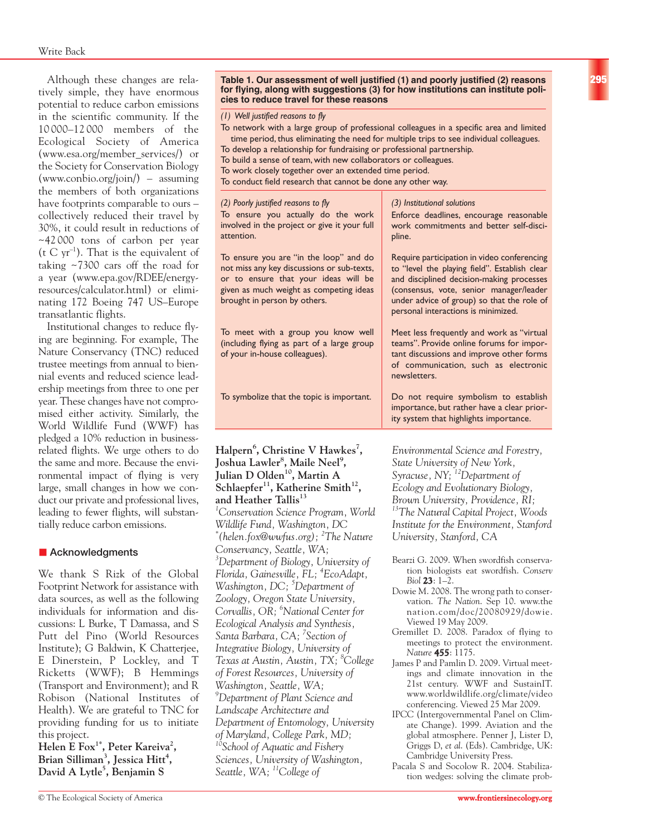Although these changes are relatively simple, they have enormous potential to reduce carbon emissions in the scientific community. If the 10 000–12 000 members of the Ecological Society of America (www.esa.org/member\_services/) or the Society for Conservation Biology (www.conbio.org/join/) – assuming the members of both organizations have footprints comparable to ours – collectively reduced their travel by 30%, it could result in reductions of ~42 000 tons of carbon per year (t C  $yr^{-1}$ ). That is the equivalent of taking ~7300 cars off the road for a year (www.epa.gov/RDEE/energyresources/calculator.html) or eliminating 172 Boeing 747 US–Europe transatlantic flights.

Institutional changes to reduce flying are beginning. For example, The Nature Conservancy (TNC) reduced trustee meetings from annual to biennial events and reduced science leadership meetings from three to one per year. These changes have not compromised either activity. Similarly, the World Wildlife Fund (WWF) has pledged a 10% reduction in businessrelated flights. We urge others to do the same and more. Because the environmental impact of flying is very large, small changes in how we conduct our private and professional lives, leading to fewer flights, will substantially reduce carbon emissions.

# $\blacksquare$  Acknowledgments

We thank S Rizk of the Global Footprint Network for assistance with data sources, as well as the following individuals for information and discussions: L Burke, T Damassa, and S Putt del Pino (World Resources Institute); G Baldwin, K Chatterjee, E Dinerstein, P Lockley, and T Ricketts (WWF); B Hemmings (Transport and Environment); and R Robison (National Institutes of Health). We are grateful to TNC for providing funding for us to initiate this project.

**Helen E Fox1\*, Peter Kareiva2 , Brian Silliman3 , Jessica Hitt<sup>4</sup> , David A Lytle5 , Benjamin S**

#### **Table 1. Our assessment of well justified (1) and poorly justified (2) reasons for flying, along with suggestions (3) for how institutions can institute policies to reduce travel for these reasons**

*(1) Well justified reasons to fly*

- To network with a large group of professional colleagues in a specific area and limited time period, thus eliminating the need for multiple trips to see individual colleagues. To develop a relationship for fundraising or professional partnership. To build a sense of team, with new collaborators or colleagues.
- To work closely together over an extended time period.
- To conduct field research that cannot be done any other way.

| (2) Poorly justified reasons to fly<br>To ensure you actually do the work<br>involved in the project or give it your full<br>attention.                                                                 | (3) Institutional solutions<br>Enforce deadlines, encourage reasonable<br>work commitments and better self-disci-<br>pline.                                                                                                                                               |
|---------------------------------------------------------------------------------------------------------------------------------------------------------------------------------------------------------|---------------------------------------------------------------------------------------------------------------------------------------------------------------------------------------------------------------------------------------------------------------------------|
| To ensure you are "in the loop" and do<br>not miss any key discussions or sub-texts,<br>or to ensure that your ideas will be<br>given as much weight as competing ideas<br>brought in person by others. | Require participation in video conferencing<br>to "level the playing field". Establish clear<br>and disciplined decision-making processes<br>(consensus, vote, senior manager/leader<br>under advice of group) so that the role of<br>personal interactions is minimized. |
| To meet with a group you know well<br>(including flying as part of a large group<br>of your in-house colleagues).                                                                                       | Meet less frequently and work as "virtual<br>teams". Provide online forums for impor-<br>tant discussions and improve other forms<br>of communication, such as electronic<br>newsletters.                                                                                 |
| To symbolize that the topic is important.                                                                                                                                                               | Do not require symbolism to establish<br>importance, but rather have a clear prior-<br>ity system that highlights importance.                                                                                                                                             |
|                                                                                                                                                                                                         |                                                                                                                                                                                                                                                                           |

### Halpern<sup>6</sup>, Christine V Hawkes<sup>7</sup>, **Joshua Lawler8 , Maile Neel<sup>9</sup> , Julian D Olden10, Martin A** Schlaepfer<sup>11</sup>, Katherine Smith<sup>12</sup>, and Heather Tallis<sup>13</sup>

*1 Conservation Science Program, World Wildlife Fund, Washington, DC \* (helen.fox@wwfus.org); 2 The Nature Conservancy, Seattle, WA; 3 Department of Biology, University of Florida, Gainesville, FL; 4 EcoAdapt, Washington, DC; 5 Department of Zoology, Oregon State University, Corvallis, OR; 6 National Center for Ecological Analysis and Synthesis, Santa Barbara, CA; 7 Section of Integrative Biology, University of Texas at Austin, Austin, TX; 8 College of Forest Resources, University of Washington, Seattle, WA; 9 Department of Plant Science and Landscape Architecture and Department of Entomology, University of Maryland, College Park, MD; 10School of Aquatic and Fishery Sciences, University of Washington, Seattle, WA; 11College of*

*Environmental Science and Forestry, State University of New York, Syracuse, NY; 12Department of Ecology and Evolutionary Biology, Brown University, Providence, RI; 13The Natural Capital Project, Woods Institute for the Environment, Stanford University, Stanford, CA*

- Bearzi G. 2009. When swordfish conservation biologists eat swordfish. *Conserv Biol* **23**: 1–2.
- Dowie M. 2008. The wrong path to conservation. *The Nation*. Sep 10. www.the nation.com/doc/20080929/dowie. Viewed 19 May 2009.
- Gremillet D. 2008. Paradox of flying to meetings to protect the environment. *Nature* **455**: 1175.
- James P and Pamlin D. 2009. Virtual meetings and climate innovation in the 21st century. WWF and SustainIT. www.worldwildlife.org/climate/video conferencing. Viewed 25 Mar 2009.
- IPCC (Intergovernmental Panel on Climate Change). 1999. Aviation and the global atmosphere. Penner J, Lister D, Griggs D, *et al*. (Eds). Cambridge, UK: Cambridge University Press.
- Pacala S and Socolow R. 2004. Stabilization wedges: solving the climate prob-